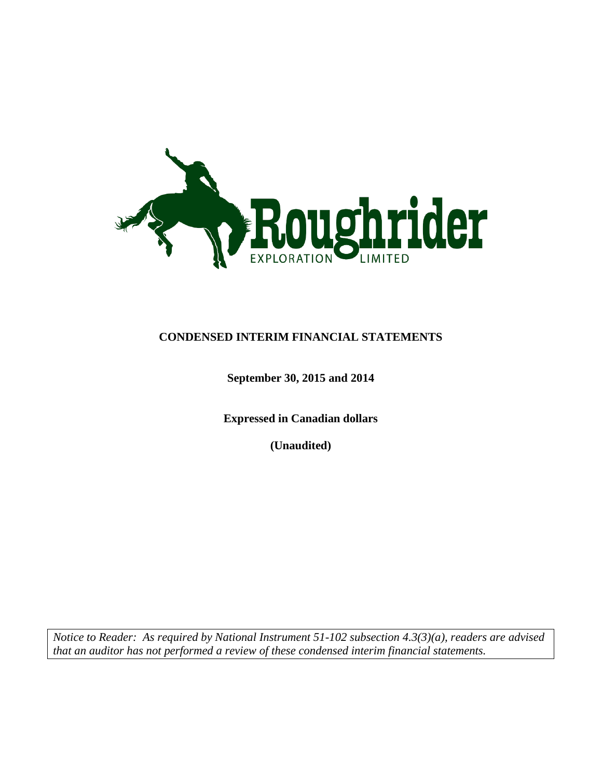

### **CONDENSED INTERIM FINANCIAL STATEMENTS**

### **September 30, 2015 and 2014**

**Expressed in Canadian dollars**

**(Unaudited)**

*Notice to Reader: As required by National Instrument 51-102 subsection 4.3(3)(a), readers are advised that an auditor has not performed a review of these condensed interim financial statements.*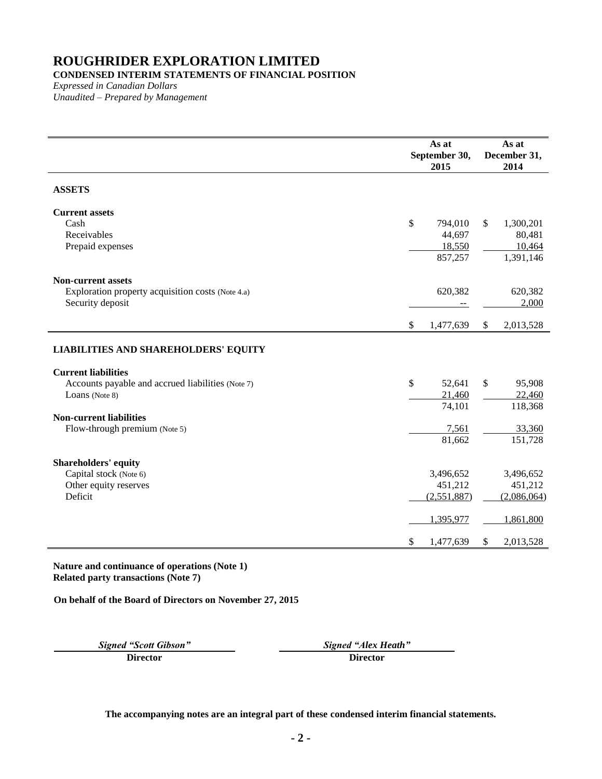### **CONDENSED INTERIM STATEMENTS OF FINANCIAL POSITION**

*Expressed in Canadian Dollars Unaudited – Prepared by Management*

|                                                   |                           | As at<br>September 30,<br>2015 |              | As at<br>December 31,<br>2014 |
|---------------------------------------------------|---------------------------|--------------------------------|--------------|-------------------------------|
| <b>ASSETS</b>                                     |                           |                                |              |                               |
| <b>Current assets</b>                             |                           |                                |              |                               |
| Cash                                              | $\$\,$                    | 794,010                        | $\mathbb{S}$ | 1,300,201                     |
| Receivables                                       |                           | 44,697                         |              | 80,481                        |
| Prepaid expenses                                  |                           | 18,550                         |              | 10,464                        |
|                                                   |                           | 857,257                        |              | 1,391,146                     |
| <b>Non-current assets</b>                         |                           |                                |              |                               |
| Exploration property acquisition costs (Note 4.a) |                           | 620,382                        |              | 620,382                       |
| Security deposit                                  |                           |                                |              | 2,000                         |
|                                                   | $\boldsymbol{\mathsf{S}}$ | 1,477,639                      | \$           | 2,013,528                     |
|                                                   |                           |                                |              |                               |
| <b>LIABILITIES AND SHAREHOLDERS' EQUITY</b>       |                           |                                |              |                               |
| <b>Current liabilities</b>                        |                           |                                |              |                               |
| Accounts payable and accrued liabilities (Note 7) | $\mathbb{S}$              | 52,641                         | $\mathbb{S}$ | 95,908                        |
| Loans (Note 8)                                    |                           | 21,460                         |              | 22,460                        |
|                                                   |                           | 74,101                         |              | 118,368                       |
| <b>Non-current liabilities</b>                    |                           |                                |              |                               |
| Flow-through premium (Note 5)                     |                           | 7,561                          |              | 33,360                        |
|                                                   |                           | 81,662                         |              | 151,728                       |
| <b>Shareholders' equity</b>                       |                           |                                |              |                               |
| Capital stock (Note 6)                            |                           | 3,496,652                      |              | 3,496,652                     |
| Other equity reserves                             |                           | 451,212                        |              | 451,212                       |
| Deficit                                           |                           | (2,551,887)                    |              | (2,086,064)                   |
|                                                   |                           | 1,395,977                      |              | 1,861,800                     |
|                                                   | \$                        | 1,477,639                      | \$           | 2,013,528                     |
|                                                   |                           |                                |              |                               |

**Nature and continuance of operations (Note 1) Related party transactions (Note [7\)](#page-11-0)**

**On behalf of the Board of Directors on November 27, 2015**

**Director Director**

*Signed "Scott Gibson" Signed "Alex Heath"*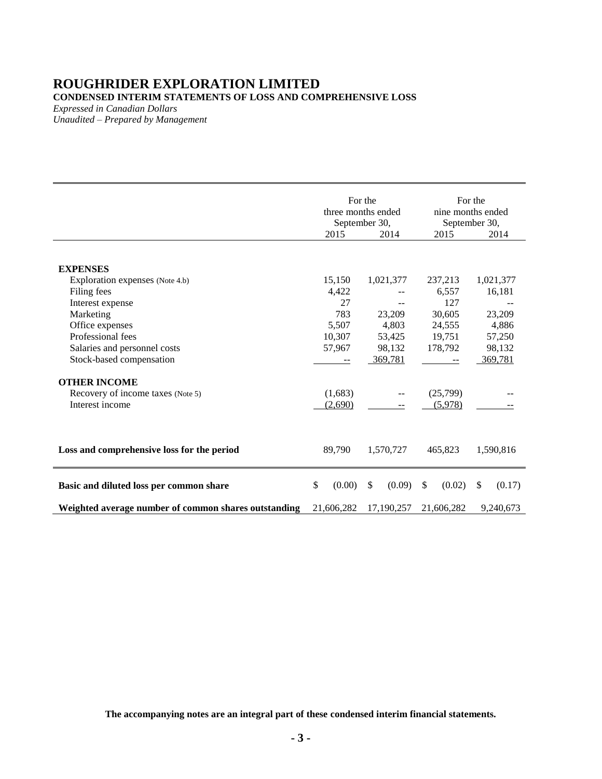### **ROUGHRIDER EXPLORATION LIMITED CONDENSED INTERIM STATEMENTS OF LOSS AND COMPREHENSIVE LOSS**

*Expressed in Canadian Dollars*

*Unaudited – Prepared by Management*

|                                                      | For the<br>three months ended<br>September 30,<br>2015<br>2014 |                        | For the<br>nine months ended<br>September 30,<br>2014<br>2015 |              |
|------------------------------------------------------|----------------------------------------------------------------|------------------------|---------------------------------------------------------------|--------------|
|                                                      |                                                                |                        |                                                               |              |
| <b>EXPENSES</b>                                      |                                                                |                        |                                                               |              |
| Exploration expenses (Note 4.b)                      | 15,150                                                         | 1,021,377              | 237,213                                                       | 1,021,377    |
| Filing fees                                          | 4,422                                                          |                        | 6,557                                                         | 16,181       |
| Interest expense                                     | 27                                                             |                        | 127                                                           |              |
| Marketing                                            | 783                                                            | 23,209                 | 30,605                                                        | 23,209       |
| Office expenses                                      | 5,507                                                          | 4,803                  | 24,555                                                        | 4,886        |
| Professional fees                                    | 10,307                                                         | 53,425                 | 19,751                                                        | 57,250       |
| Salaries and personnel costs                         | 57,967                                                         | 98,132                 | 178,792                                                       | 98,132       |
| Stock-based compensation                             |                                                                | 369,781                |                                                               | 369,781      |
| <b>OTHER INCOME</b>                                  |                                                                |                        |                                                               |              |
| Recovery of income taxes (Note 5)                    | (1,683)                                                        | $ -$                   | (25,799)                                                      |              |
| Interest income                                      | (2,690)                                                        |                        | (5,978)                                                       |              |
|                                                      |                                                                |                        |                                                               |              |
| Loss and comprehensive loss for the period           | 89,790                                                         | 1,570,727              | 465,823                                                       | 1,590,816    |
| Basic and diluted loss per common share              | \$<br>(0.00)                                                   | $\mathbb{S}$<br>(0.09) | \$<br>(0.02)                                                  | \$<br>(0.17) |
| Weighted average number of common shares outstanding | 21,606,282                                                     | 17,190,257             | 21,606,282                                                    | 9,240,673    |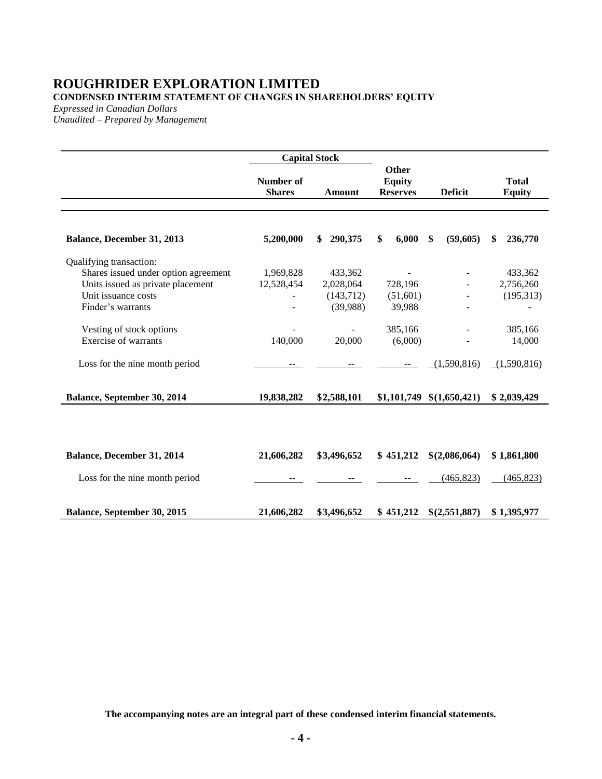### **ROUGHRIDER EXPLORATION LIMITED CONDENSED INTERIM STATEMENT OF CHANGES IN SHAREHOLDERS' EQUITY**

*Expressed in Canadian Dollars*

*Unaudited – Prepared by Management*

|                                      |                                   | <b>Capital Stock</b> |                                           |                                 |                               |
|--------------------------------------|-----------------------------------|----------------------|-------------------------------------------|---------------------------------|-------------------------------|
|                                      | <b>Number of</b><br><b>Shares</b> | Amount               | Other<br><b>Equity</b><br><b>Reserves</b> | <b>Deficit</b>                  | <b>Total</b><br><b>Equity</b> |
| Balance, December 31, 2013           | 5,200,000                         | 290,375<br>\$        | 6,000<br>\$                               | \$<br>(59,605)                  | \$<br>236,770                 |
| Qualifying transaction:              |                                   |                      |                                           |                                 |                               |
| Shares issued under option agreement | 1,969,828                         | 433,362              |                                           |                                 | 433,362                       |
| Units issued as private placement    | 12,528,454                        | 2,028,064            | 728,196                                   |                                 | 2,756,260                     |
| Unit issuance costs                  |                                   | (143,712)            | (51,601)                                  |                                 | (195,313)                     |
| Finder's warrants                    |                                   | (39,988)             | 39,988                                    |                                 |                               |
| Vesting of stock options             |                                   |                      | 385,166                                   |                                 | 385,166                       |
| <b>Exercise of warrants</b>          | 140,000                           | 20,000               | (6,000)                                   |                                 | 14,000                        |
| Loss for the nine month period       |                                   |                      |                                           | (1,590,816)                     | (1,590,816)                   |
| Balance, September 30, 2014          | 19,838,282                        | \$2,588,101          |                                           | $$1,101,749 \quad $(1,650,421)$ | \$2,039,429                   |
|                                      |                                   |                      |                                           |                                 |                               |
| Balance, December 31, 2014           | 21,606,282                        | \$3,496,652          | \$451,212                                 | \$(2,086,064)                   | \$1,861,800                   |
| Loss for the nine month period       |                                   |                      |                                           | (465, 823)                      | (465, 823)                    |
| <b>Balance, September 30, 2015</b>   | 21,606,282                        | \$3,496,652          | \$451,212                                 | \$(2,551,887)                   | \$1,395,977                   |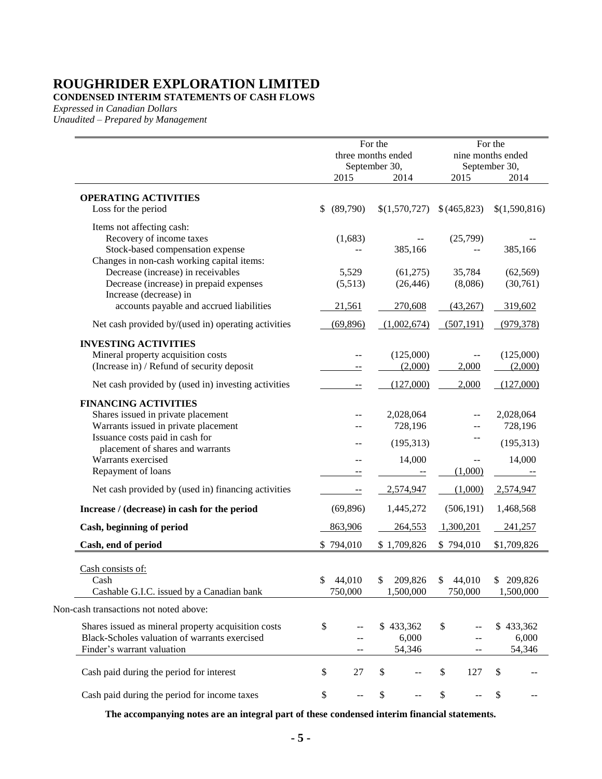**CONDENSED INTERIM STATEMENTS OF CASH FLOWS**

*Expressed in Canadian Dollars*

*Unaudited – Prepared by Management*

|                                                                                                                                         | For the<br>three months ended<br>September 30, |                              |     |                         | For the<br>nine months ended     |
|-----------------------------------------------------------------------------------------------------------------------------------------|------------------------------------------------|------------------------------|-----|-------------------------|----------------------------------|
|                                                                                                                                         | 2015                                           | 2014                         |     | 2015                    | September 30,<br>2014            |
| <b>OPERATING ACTIVITIES</b><br>Loss for the period                                                                                      | \$<br>(89,790)                                 | \$(1,570,727)                |     | \$(465,823)             | \$(1,590,816)                    |
| Items not affecting cash:<br>Recovery of income taxes<br>Stock-based compensation expense<br>Changes in non-cash working capital items: | (1,683)                                        | 385,166                      |     | (25,799)                | 385,166                          |
| Decrease (increase) in receivables<br>Decrease (increase) in prepaid expenses<br>Increase (decrease) in                                 | 5,529<br>(5,513)                               | (61,275)<br>(26, 446)        |     | 35,784<br>(8,086)       | (62, 569)<br>(30,761)            |
| accounts payable and accrued liabilities<br>Net cash provided by/(used in) operating activities                                         | 21,561<br>(69, 896)                            | 270,608<br>(1,002,674)       |     | (43,267)<br>(507, 191)  | 319,602<br>(979, 378)            |
|                                                                                                                                         |                                                |                              |     |                         |                                  |
| <b>INVESTING ACTIVITIES</b><br>Mineral property acquisition costs<br>(Increase in) / Refund of security deposit                         |                                                | (125,000)<br>(2,000)         |     | 2,000                   | (125,000)<br>(2,000)             |
| Net cash provided by (used in) investing activities                                                                                     | --                                             | (127,000)                    |     | 2,000                   | (127,000)                        |
| <b>FINANCING ACTIVITIES</b><br>Shares issued in private placement<br>Warrants issued in private placement                               |                                                | 2,028,064<br>728,196         |     |                         | 2,028,064<br>728,196             |
| Issuance costs paid in cash for<br>placement of shares and warrants<br>Warrants exercised<br>Repayment of loans                         |                                                | (195,313)<br>14,000          |     | (1,000)                 | (195, 313)<br>14,000             |
| Net cash provided by (used in) financing activities                                                                                     |                                                | 2,574,947                    |     | (1,000)                 | 2,574,947                        |
| Increase / (decrease) in cash for the period                                                                                            | (69, 896)                                      | 1,445,272                    |     | (506, 191)              | 1,468,568                        |
| Cash, beginning of period                                                                                                               | 863,906                                        | 264,553                      |     | 1,300,201               | 241,257                          |
| Cash, end of period                                                                                                                     | \$794,010                                      | \$1,709,826                  |     | \$794,010               | \$1,709,826                      |
| Cash consists of:<br>Cash<br>Cashable G.I.C. issued by a Canadian bank                                                                  | \$<br>44,010<br>750,000                        | \$<br>209,826<br>1,500,000   |     | \$<br>44,010<br>750,000 | \$ 209,826<br>1,500,000          |
| Non-cash transactions not noted above:                                                                                                  |                                                |                              |     |                         |                                  |
| Shares issued as mineral property acquisition costs<br>Black-Scholes valuation of warrants exercised<br>Finder's warrant valuation      | \$<br>--                                       | \$433,362<br>6,000<br>54,346 |     | \$<br>--                | 433,362<br>\$<br>6,000<br>54,346 |
| Cash paid during the period for interest                                                                                                | \$<br>27                                       | \$                           |     | \$<br>127               | \$                               |
| Cash paid during the period for income taxes                                                                                            | \$<br>$- -$                                    | \$                           | $-$ | \$<br>--                | \$<br>$ -$                       |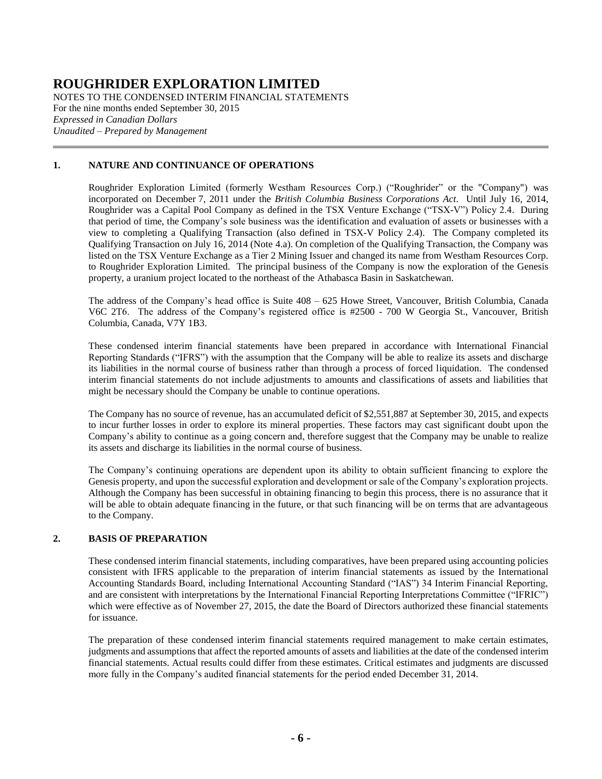NOTES TO THE CONDENSED INTERIM FINANCIAL STATEMENTS For the nine months ended September 30, 2015 *Expressed in Canadian Dollars Unaudited – Prepared by Management*

#### **1. NATURE AND CONTINUANCE OF OPERATIONS**

Roughrider Exploration Limited (formerly Westham Resources Corp.) ("Roughrider" or the "Company") was incorporated on December 7, 2011 under the *British Columbia Business Corporations Act*. Until July 16, 2014, Roughrider was a Capital Pool Company as defined in the TSX Venture Exchange ("TSX-V") Policy 2.4. During that period of time, the Company's sole business was the identification and evaluation of assets or businesses with a view to completing a Qualifying Transaction (also defined in TSX-V Policy 2.4). The Company completed its Qualifying Transaction on July 16, 2014 (Note [4.a\)](#page-7-0). On completion of the Qualifying Transaction, the Company was listed on the TSX Venture Exchange as a Tier 2 Mining Issuer and changed its name from Westham Resources Corp. to Roughrider Exploration Limited. The principal business of the Company is now the exploration of the Genesis property, a uranium project located to the northeast of the Athabasca Basin in Saskatchewan.

The address of the Company's head office is Suite 408 – 625 Howe Street, Vancouver, British Columbia, Canada V6C 2T6. The address of the Company's registered office is #2500 - 700 W Georgia St., Vancouver, British Columbia, Canada, V7Y 1B3.

These condensed interim financial statements have been prepared in accordance with International Financial Reporting Standards ("IFRS") with the assumption that the Company will be able to realize its assets and discharge its liabilities in the normal course of business rather than through a process of forced liquidation. The condensed interim financial statements do not include adjustments to amounts and classifications of assets and liabilities that might be necessary should the Company be unable to continue operations.

The Company has no source of revenue, has an accumulated deficit of \$2,551,887 at September 30, 2015, and expects to incur further losses in order to explore its mineral properties. These factors may cast significant doubt upon the Company's ability to continue as a going concern and, therefore suggest that the Company may be unable to realize its assets and discharge its liabilities in the normal course of business.

The Company's continuing operations are dependent upon its ability to obtain sufficient financing to explore the Genesis property, and upon the successful exploration and development or sale of the Company's exploration projects. Although the Company has been successful in obtaining financing to begin this process, there is no assurance that it will be able to obtain adequate financing in the future, or that such financing will be on terms that are advantageous to the Company.

#### **2. BASIS OF PREPARATION**

These condensed interim financial statements, including comparatives, have been prepared using accounting policies consistent with IFRS applicable to the preparation of interim financial statements as issued by the International Accounting Standards Board, including International Accounting Standard ("IAS") 34 Interim Financial Reporting, and are consistent with interpretations by the International Financial Reporting Interpretations Committee ("IFRIC") which were effective as of November 27, 2015, the date the Board of Directors authorized these financial statements for issuance.

The preparation of these condensed interim financial statements required management to make certain estimates, judgments and assumptions that affect the reported amounts of assets and liabilities at the date of the condensed interim financial statements. Actual results could differ from these estimates. Critical estimates and judgments are discussed more fully in the Company's audited financial statements for the period ended December 31, 2014.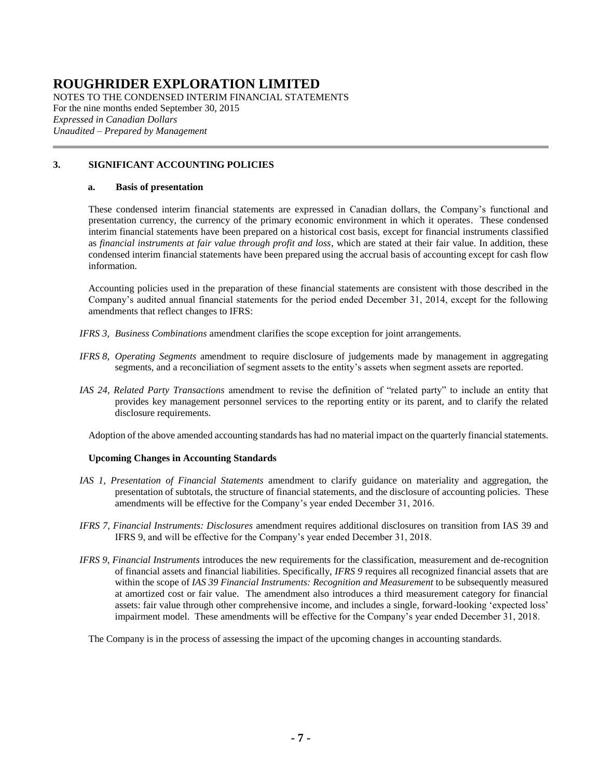NOTES TO THE CONDENSED INTERIM FINANCIAL STATEMENTS For the nine months ended September 30, 2015 *Expressed in Canadian Dollars Unaudited – Prepared by Management*

#### **3. SIGNIFICANT ACCOUNTING POLICIES**

#### **a. Basis of presentation**

These condensed interim financial statements are expressed in Canadian dollars, the Company's functional and presentation currency, the currency of the primary economic environment in which it operates. These condensed interim financial statements have been prepared on a historical cost basis, except for financial instruments classified as *financial instruments at fair value through profit and loss*, which are stated at their fair value. In addition, these condensed interim financial statements have been prepared using the accrual basis of accounting except for cash flow information.

Accounting policies used in the preparation of these financial statements are consistent with those described in the Company's audited annual financial statements for the period ended December 31, 2014, except for the following amendments that reflect changes to IFRS:

- *IFRS 3, Business Combinations* amendment clarifies the scope exception for joint arrangements.
- *IFRS 8, Operating Segments* amendment to require disclosure of judgements made by management in aggregating segments, and a reconciliation of segment assets to the entity's assets when segment assets are reported.
- *IAS 24, Related Party Transactions* amendment to revise the definition of "related party" to include an entity that provides key management personnel services to the reporting entity or its parent, and to clarify the related disclosure requirements.

Adoption of the above amended accounting standards has had no material impact on the quarterly financial statements.

#### **Upcoming Changes in Accounting Standards**

- *IAS 1, Presentation of Financial Statements* amendment to clarify guidance on materiality and aggregation, the presentation of subtotals, the structure of financial statements, and the disclosure of accounting policies. These amendments will be effective for the Company's year ended December 31, 2016.
- *IFRS 7, Financial Instruments: Disclosures* amendment requires additional disclosures on transition from IAS 39 and IFRS 9, and will be effective for the Company's year ended December 31, 2018.
- *IFRS 9, Financial Instruments* introduces the new requirements for the classification, measurement and de-recognition of financial assets and financial liabilities. Specifically, *IFRS 9* requires all recognized financial assets that are within the scope of *IAS 39 Financial Instruments: Recognition and Measurement* to be subsequently measured at amortized cost or fair value. The amendment also introduces a third measurement category for financial assets: fair value through other comprehensive income, and includes a single, forward-looking 'expected loss' impairment model. These amendments will be effective for the Company's year ended December 31, 2018.

The Company is in the process of assessing the impact of the upcoming changes in accounting standards.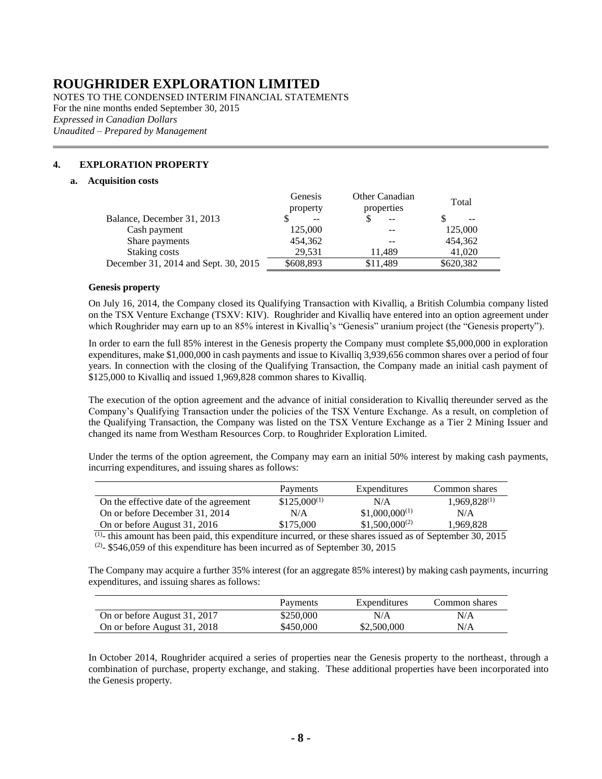NOTES TO THE CONDENSED INTERIM FINANCIAL STATEMENTS For the nine months ended September 30, 2015 *Expressed in Canadian Dollars Unaudited – Prepared by Management*

#### <span id="page-7-1"></span><span id="page-7-0"></span>**4. EXPLORATION PROPERTY**

#### **a. Acquisition costs**

|                                      | Genesis<br>property      | Other Canadian<br>properties | Total     |
|--------------------------------------|--------------------------|------------------------------|-----------|
| Balance, December 31, 2013           | $\overline{\phantom{m}}$ | $-$                          | --        |
| Cash payment                         | 125,000                  | --                           | 125,000   |
| Share payments                       | 454,362                  | --                           | 454,362   |
| Staking costs                        | 29.531                   | 11.489                       | 41,020    |
| December 31, 2014 and Sept. 30, 2015 | \$608,893                | \$11.489                     | \$620,382 |

#### **Genesis property**

On July 16, 2014, the Company closed its Qualifying Transaction with Kivalliq, a British Columbia company listed on the TSX Venture Exchange (TSXV: KIV). Roughrider and Kivalliq have entered into an option agreement under which Roughrider may earn up to an 85% interest in Kivalliq's "Genesis" uranium project (the "Genesis property").

In order to earn the full 85% interest in the Genesis property the Company must complete \$5,000,000 in exploration expenditures, make \$1,000,000 in cash payments and issue to Kivalliq 3,939,656 common shares over a period of four years. In connection with the closing of the Qualifying Transaction, the Company made an initial cash payment of \$125,000 to Kivalliq and issued 1,969,828 common shares to Kivalliq.

The execution of the option agreement and the advance of initial consideration to Kivalliq thereunder served as the Company's Qualifying Transaction under the policies of the TSX Venture Exchange. As a result, on completion of the Qualifying Transaction, the Company was listed on the TSX Venture Exchange as a Tier 2 Mining Issuer and changed its name from Westham Resources Corp. to Roughrider Exploration Limited.

Under the terms of the option agreement, the Company may earn an initial 50% interest by making cash payments, incurring expenditures, and issuing shares as follows:

|                                        | Payments         | Expenditures       | Common shares     |
|----------------------------------------|------------------|--------------------|-------------------|
| On the effective date of the agreement | $$125,000^{(1)}$ | N/A                | $1,969,828^{(1)}$ |
| On or before December 31, 2014         | N/A              | $$1,000,000^{(1)}$ | N/A               |
| On or before August 31, 2016           | \$175,000        | $$1,500,000^{(2)}$ | 1.969.828         |

 $(1)$ - this amount has been paid, this expenditure incurred, or these shares issued as of September 30, 2015  $(2)$ - \$546,059 of this expenditure has been incurred as of September 30, 2015

The Company may acquire a further 35% interest (for an aggregate 85% interest) by making cash payments, incurring expenditures, and issuing shares as follows:

|                              | Payments  | Expenditures | Common shares |
|------------------------------|-----------|--------------|---------------|
| On or before August 31, 2017 | \$250,000 | N/A          | N/A           |
| On or before August 31, 2018 | \$450,000 | \$2,500,000  | N/A           |

In October 2014, Roughrider acquired a series of properties near the Genesis property to the northeast, through a combination of purchase, property exchange, and staking. These additional properties have been incorporated into the Genesis property.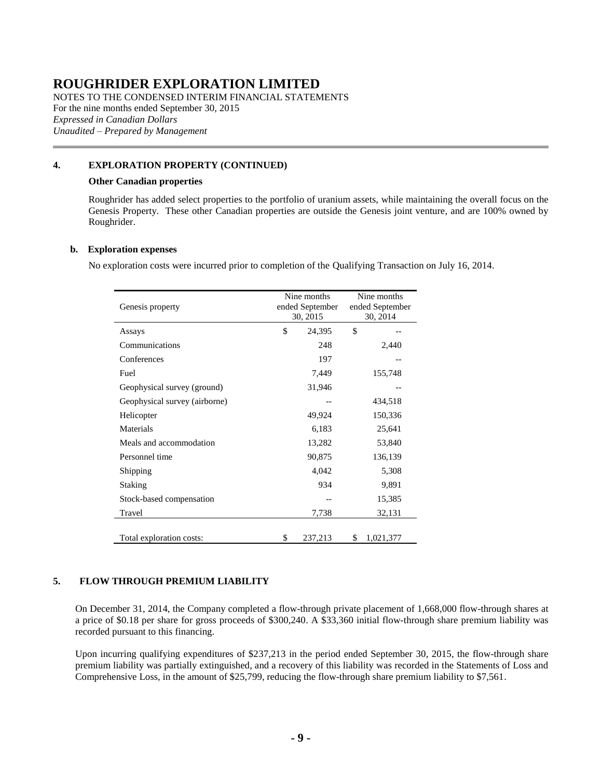NOTES TO THE CONDENSED INTERIM FINANCIAL STATEMENTS For the nine months ended September 30, 2015 *Expressed in Canadian Dollars Unaudited – Prepared by Management*

#### **[4.](#page-7-1) EXPLORATION PROPERTY (CONTINUED)**

#### **Other Canadian properties**

Roughrider has added select properties to the portfolio of uranium assets, while maintaining the overall focus on the Genesis Property. These other Canadian properties are outside the Genesis joint venture, and are 100% owned by Roughrider.

#### <span id="page-8-1"></span>**b. Exploration expenses**

No exploration costs were incurred prior to completion of the Qualifying Transaction on July 16, 2014.

| Genesis property              | Nine months<br>ended September<br>30, 2015 |         | Nine months<br>ended September<br>30, 2014 |           |
|-------------------------------|--------------------------------------------|---------|--------------------------------------------|-----------|
| Assays                        | \$                                         | 24,395  | \$                                         |           |
| Communications                |                                            | 248     |                                            | 2,440     |
| Conferences                   |                                            | 197     |                                            |           |
| Fuel                          |                                            | 7,449   |                                            | 155,748   |
| Geophysical survey (ground)   |                                            | 31,946  |                                            |           |
| Geophysical survey (airborne) |                                            |         |                                            | 434,518   |
| Helicopter                    |                                            | 49,924  |                                            | 150,336   |
| Materials                     |                                            | 6,183   |                                            | 25,641    |
| Meals and accommodation       |                                            | 13,282  |                                            | 53,840    |
| Personnel time                |                                            | 90,875  |                                            | 136,139   |
| Shipping                      |                                            | 4,042   |                                            | 5,308     |
| Staking                       |                                            | 934     |                                            | 9,891     |
| Stock-based compensation      |                                            |         |                                            | 15,385    |
| Travel                        |                                            | 7,738   |                                            | 32,131    |
|                               |                                            |         |                                            |           |
| Total exploration costs:      | \$                                         | 237,213 | \$                                         | 1,021,377 |

#### <span id="page-8-0"></span>**5. FLOW THROUGH PREMIUM LIABILITY**

On December 31, 2014, the Company completed a flow-through private placement of 1,668,000 flow-through shares at a price of \$0.18 per share for gross proceeds of \$300,240. A \$33,360 initial flow-through share premium liability was recorded pursuant to this financing.

Upon incurring qualifying expenditures of \$237,213 in the period ended September 30, 2015, the flow-through share premium liability was partially extinguished, and a recovery of this liability was recorded in the Statements of Loss and Comprehensive Loss, in the amount of \$25,799, reducing the flow-through share premium liability to \$7,561.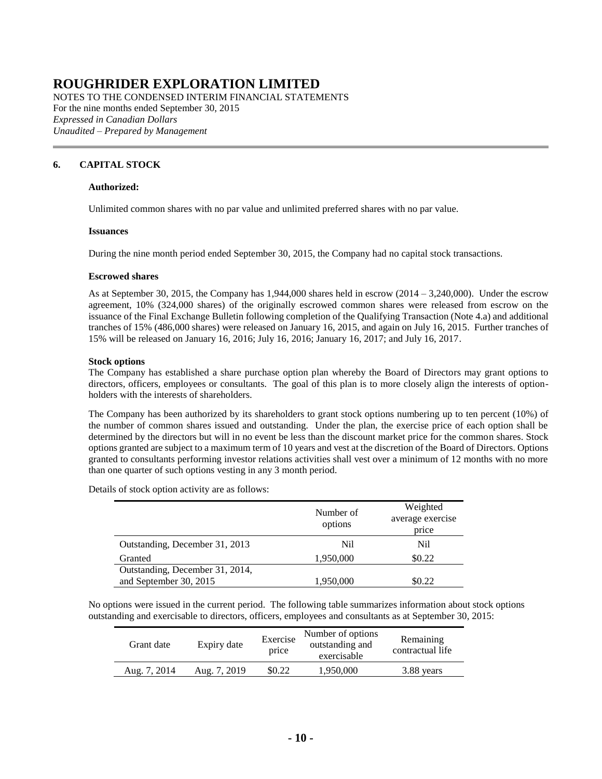NOTES TO THE CONDENSED INTERIM FINANCIAL STATEMENTS For the nine months ended September 30, 2015 *Expressed in Canadian Dollars Unaudited – Prepared by Management*

#### <span id="page-9-0"></span>**6. CAPITAL STOCK**

#### **Authorized:**

Unlimited common shares with no par value and unlimited preferred shares with no par value.

#### **Issuances**

During the nine month period ended September 30, 2015, the Company had no capital stock transactions.

#### **Escrowed shares**

As at September 30, 2015, the Company has 1,944,000 shares held in escrow (2014 – 3,240,000). Under the escrow agreement, 10% (324,000 shares) of the originally escrowed common shares were released from escrow on the issuance of the Final Exchange Bulletin following completion of the Qualifying Transaction (Note [4.a\)](#page-7-0) and additional tranches of 15% (486,000 shares) were released on January 16, 2015, and again on July 16, 2015. Further tranches of 15% will be released on January 16, 2016; July 16, 2016; January 16, 2017; and July 16, 2017.

#### **Stock options**

The Company has established a share purchase option plan whereby the Board of Directors may grant options to directors, officers, employees or consultants. The goal of this plan is to more closely align the interests of optionholders with the interests of shareholders.

The Company has been authorized by its shareholders to grant stock options numbering up to ten percent (10%) of the number of common shares issued and outstanding. Under the plan, the exercise price of each option shall be determined by the directors but will in no event be less than the discount market price for the common shares. Stock options granted are subject to a maximum term of 10 years and vest at the discretion of the Board of Directors. Options granted to consultants performing investor relations activities shall vest over a minimum of 12 months with no more than one quarter of such options vesting in any 3 month period.

Details of stock option activity are as follows:

|                                 | Number of<br>options | Weighted<br>average exercise<br>price |
|---------------------------------|----------------------|---------------------------------------|
| Outstanding, December 31, 2013  | Nil                  | Nil                                   |
| Granted                         | 1,950,000            | \$0.22                                |
| Outstanding, December 31, 2014, |                      |                                       |
| and September 30, 2015          | 1,950,000            | \$0.22                                |

No options were issued in the current period. The following table summarizes information about stock options outstanding and exercisable to directors, officers, employees and consultants as at September 30, 2015:

| Grant date   | Expiry date  | Exercise<br>price | Number of options<br>outstanding and<br>exercisable | Remaining<br>contractual life |
|--------------|--------------|-------------------|-----------------------------------------------------|-------------------------------|
| Aug. 7, 2014 | Aug. 7, 2019 | \$0.22            | 1,950,000                                           | 3.88 years                    |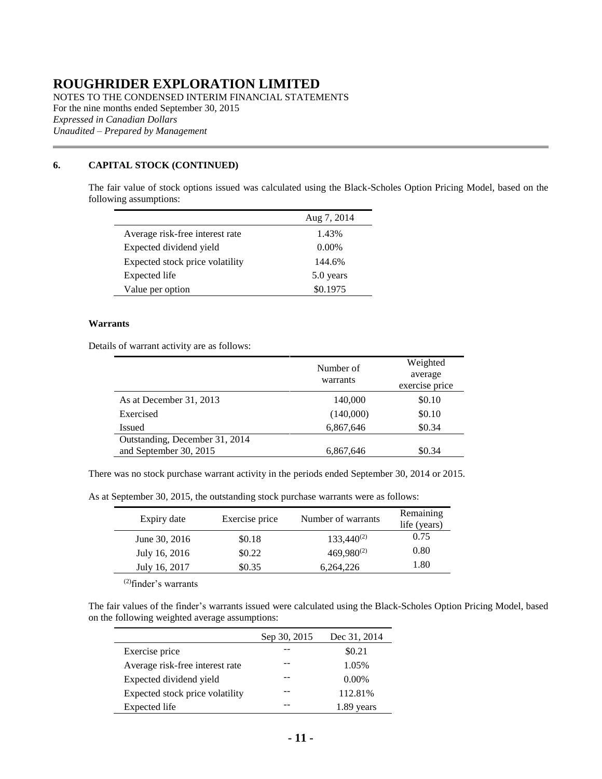NOTES TO THE CONDENSED INTERIM FINANCIAL STATEMENTS For the nine months ended September 30, 2015 *Expressed in Canadian Dollars Unaudited – Prepared by Management*

#### **[6.](#page-9-0) CAPITAL STOCK (CONTINUED)**

The fair value of stock options issued was calculated using the Black-Scholes Option Pricing Model, based on the following assumptions:

|                                 | Aug 7, 2014 |
|---------------------------------|-------------|
| Average risk-free interest rate | 1.43%       |
| Expected dividend yield         | $0.00\%$    |
| Expected stock price volatility | 144.6%      |
| Expected life                   | 5.0 years   |
| Value per option                | \$0.1975    |

#### **Warrants**

Details of warrant activity are as follows:

|                                | Number of<br>warrants | Weighted<br>average<br>exercise price |
|--------------------------------|-----------------------|---------------------------------------|
| As at December 31, 2013        | 140,000               | \$0.10                                |
| Exercised                      | (140,000)             | \$0.10                                |
| <b>Issued</b>                  | 6,867,646             | \$0.34                                |
| Outstanding, December 31, 2014 |                       |                                       |
| and September 30, 2015         | 6,867,646             | \$0.34                                |

There was no stock purchase warrant activity in the periods ended September 30, 2014 or 2015.

As at September 30, 2015, the outstanding stock purchase warrants were as follows:

| Expiry date   | Exercise price | Number of warrants | Remaining<br>life (years) |
|---------------|----------------|--------------------|---------------------------|
| June 30, 2016 | \$0.18         | $133,440^{(2)}$    | 0.75                      |
| July 16, 2016 | \$0.22         | 469,980(2)         | 0.80                      |
| July 16, 2017 | \$0.35         | 6,264,226          | 1.80                      |

(2)finder's warrants

The fair values of the finder's warrants issued were calculated using the Black-Scholes Option Pricing Model, based on the following weighted average assumptions:

|                                 | Sep 30, 2015 | Dec 31, 2014 |
|---------------------------------|--------------|--------------|
| Exercise price                  |              | \$0.21       |
| Average risk-free interest rate |              | 1.05%        |
| Expected dividend yield         |              | $0.00\%$     |
| Expected stock price volatility |              | 112.81%      |
| Expected life                   |              | vears        |